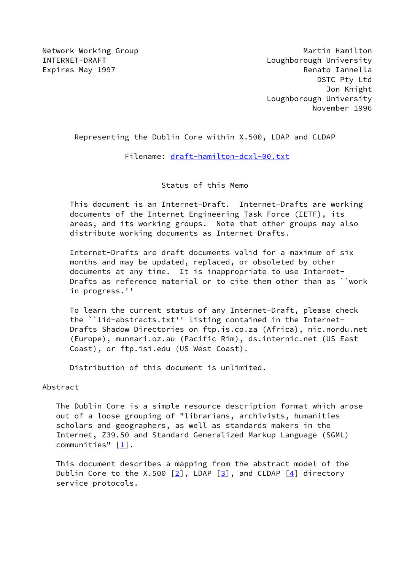Network Working Group **Martin Hamilton** Martin Hamilton INTERNET-DRAFT Loughborough University Expires May 1997 **Renato Iannella**  DSTC Pty Ltd Jon Knight Loughborough University November 1996

Representing the Dublin Core within X.500, LDAP and CLDAP

Filename: [draft-hamilton-dcxl-00.txt](https://datatracker.ietf.org/doc/pdf/draft-hamilton-dcxl-00.txt)

Status of this Memo

 This document is an Internet-Draft. Internet-Drafts are working documents of the Internet Engineering Task Force (IETF), its areas, and its working groups. Note that other groups may also distribute working documents as Internet-Drafts.

 Internet-Drafts are draft documents valid for a maximum of six months and may be updated, replaced, or obsoleted by other documents at any time. It is inappropriate to use Internet- Drafts as reference material or to cite them other than as ``work in progress.''

 To learn the current status of any Internet-Draft, please check the ``1id-abstracts.txt'' listing contained in the Internet- Drafts Shadow Directories on ftp.is.co.za (Africa), nic.nordu.net (Europe), munnari.oz.au (Pacific Rim), ds.internic.net (US East Coast), or ftp.isi.edu (US West Coast).

Distribution of this document is unlimited.

#### Abstract

 The Dublin Core is a simple resource description format which arose out of a loose grouping of "librarians, archivists, humanities scholars and geographers, as well as standards makers in the Internet, Z39.50 and Standard Generalized Markup Language (SGML) communities" [\[1\]](#page-5-0).

 This document describes a mapping from the abstract model of the Dublin Core to the X.500  $\lceil 2 \rceil$ , LDAP  $\lceil 3 \rceil$ , and CLDAP  $\lceil 4 \rceil$  directory service protocols.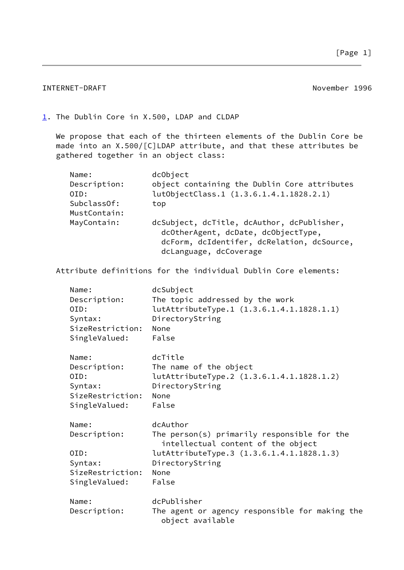### INTERNET-DRAFT November 1996

### <span id="page-1-0"></span>[1](#page-1-0). The Dublin Core in X.500, LDAP and CLDAP

 We propose that each of the thirteen elements of the Dublin Core be made into an X.500/[C]LDAP attribute, and that these attributes be gathered together in an object class:

| Name:        | dcObject                                                                                                                        |
|--------------|---------------------------------------------------------------------------------------------------------------------------------|
| Description: | object containing the Dublin Core attributes                                                                                    |
| OID:         | lutObjectClass.1 (1.3.6.1.4.1.1828.2.1)                                                                                         |
| SubclassOf:  | top                                                                                                                             |
| MustContain: |                                                                                                                                 |
| MayContain:  | dcSubject, dcTitle, dcAuthor, dcPublisher,<br>dcOtherAgent, dcDate, dcObjectType,<br>dcForm, dcIdentifer, dcRelation, dcSource, |
|              | dcLanguage, dcCoverage                                                                                                          |

Attribute definitions for the individual Dublin Core elements:

| Name:<br>Description:<br>OID:<br>Syntax:<br>SizeRestriction:<br>SingleValued: | dcSubject<br>The topic addressed by the work<br>lutAttributeType.1 (1.3.6.1.4.1.1828.1.1)<br>DirectoryString<br>None<br>False                                                  |
|-------------------------------------------------------------------------------|--------------------------------------------------------------------------------------------------------------------------------------------------------------------------------|
| Name:<br>Description:<br>OID:<br>Syntax:<br>SizeRestriction:<br>SingleValued: | dcTitle<br>The name of the object<br>lutAttributeType.2 (1.3.6.1.4.1.1828.1.2)<br>DirectoryString<br>None<br>False                                                             |
| Name:<br>Description:<br>OID:<br>Syntax:<br>SizeRestriction:<br>SingleValued: | dcAuthor<br>The person(s) primarily responsible for the<br>intellectual content of the object<br>lutAttributeType.3 (1.3.6.1.4.1.1828.1.3)<br>DirectoryString<br>None<br>False |
| Name:<br>Description:                                                         | dcPublisher<br>The agent or agency responsible for making the<br>object available                                                                                              |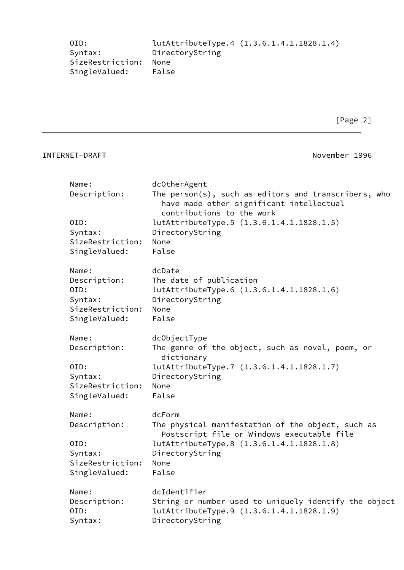| OID:             | lutAttributeType.4 (1.3.6.1.4.1.1828.1.4) |
|------------------|-------------------------------------------|
| Syntax:          | DirectoryString                           |
| SizeRestriction: | None                                      |
| SingleValued:    | False                                     |

[Page 2]

# INTERNET-DRAFT November 1996

| Name:            | dcOtherAgent                                                                                        |
|------------------|-----------------------------------------------------------------------------------------------------|
| Description:     | The $person(s)$ , such as editors and transcribers, who<br>have made other significant intellectual |
|                  | contributions to the work                                                                           |
| OID:             | lutAttributeType.5 (1.3.6.1.4.1.1828.1.5)                                                           |
| Syntax:          | DirectoryString                                                                                     |
| SizeRestriction: | None                                                                                                |
| SingleValued:    | False                                                                                               |
|                  |                                                                                                     |
| Name:            | dcDate                                                                                              |
| Description:     | The date of publication                                                                             |
| OID:             | lutAttributeType.6 (1.3.6.1.4.1.1828.1.6)                                                           |
| Syntax:          | DirectoryString                                                                                     |
| SizeRestriction: | None                                                                                                |
| SingleValued:    | False                                                                                               |
| Name:            | dcObjectType                                                                                        |
| Description:     | The genre of the object, such as novel, poem, or<br>dictionary                                      |
| OID:             | lutAttributeType.7 (1.3.6.1.4.1.1828.1.7)                                                           |
| Syntax:          | DirectoryString                                                                                     |
| SizeRestriction: | None                                                                                                |
| SingleValued:    | False                                                                                               |
| Name:            | dcForm                                                                                              |
| Description:     | The physical manifestation of the object, such as                                                   |
|                  | Postscript file or Windows executable file                                                          |
| OID:             | lutAttributeType.8 (1.3.6.1.4.1.1828.1.8)                                                           |
| Syntax:          | DirectoryString                                                                                     |
| SizeRestriction: | None                                                                                                |
| SingleValued:    | False                                                                                               |
| Name:            | dcIdentifier                                                                                        |
| Description:     | String or number used to uniquely identify the object                                               |
| OID:             | lutAttributeType.9 (1.3.6.1.4.1.1828.1.9)                                                           |
| Syntax:          | DirectoryString                                                                                     |
|                  |                                                                                                     |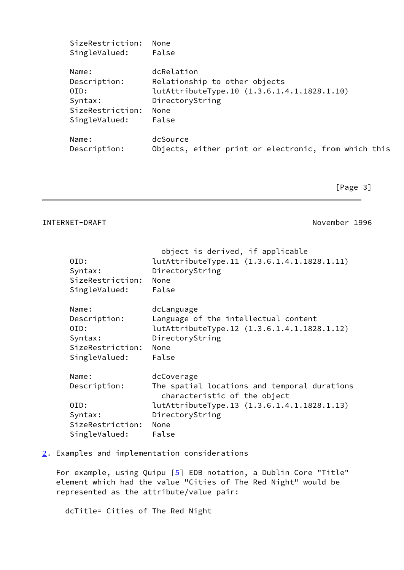| SingleValued:         | False                                                            |
|-----------------------|------------------------------------------------------------------|
| Name:<br>Description: | dcRelation<br>Relationship to other objects                      |
| OID:                  | lutAttributeType.10 (1.3.6.1.4.1.1828.1.10)                      |
| Syntax:               | DirectoryString                                                  |
| SizeRestriction:      | None                                                             |
| SingleValued:         | False                                                            |
| Name:<br>Description: | dcSource<br>Objects, either print or electronic, from which this |

[Page 3]

### INTERNET-DRAFT November 1996

| OID:<br>Syntax:<br>SizeRestriction:<br>SingleValued:                          | object is derived, if applicable<br>lutAttributeType.11 (1.3.6.1.4.1.1828.1.11)<br>DirectoryString<br>None<br>False                                                           |
|-------------------------------------------------------------------------------|-------------------------------------------------------------------------------------------------------------------------------------------------------------------------------|
| Name:<br>Description:<br>OID:<br>Syntax:<br>SizeRestriction:<br>SingleValued: | dcLanguage<br>Language of the intellectual content<br>lutAttributeType.12 (1.3.6.1.4.1.1828.1.12)<br>DirectoryString<br>None<br>False                                         |
| Name:<br>Description:<br>OID:<br>Syntax:<br>SizeRestriction:<br>SingleValued: | dcCoverage<br>The spatial locations and temporal durations<br>characteristic of the object<br>lutAttributeType.13 (1.3.6.1.4.1.1828.1.13)<br>DirectoryString<br>None<br>False |

## <span id="page-3-0"></span>[2](#page-3-0). Examples and implementation considerations

For example, using Quipu [\[5\]](#page-6-2) EDB notation, a Dublin Core "Title" element which had the value "Cities of The Red Night" would be represented as the attribute/value pair:

dcTitle= Cities of The Red Night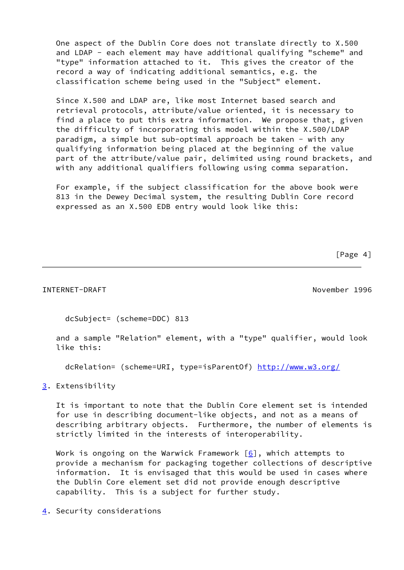One aspect of the Dublin Core does not translate directly to X.500 and LDAP - each element may have additional qualifying "scheme" and "type" information attached to it. This gives the creator of the record a way of indicating additional semantics, e.g. the classification scheme being used in the "Subject" element.

 Since X.500 and LDAP are, like most Internet based search and retrieval protocols, attribute/value oriented, it is necessary to find a place to put this extra information. We propose that, given the difficulty of incorporating this model within the X.500/LDAP paradigm, a simple but sub-optimal approach be taken - with any qualifying information being placed at the beginning of the value part of the attribute/value pair, delimited using round brackets, and with any additional qualifiers following using comma separation.

 For example, if the subject classification for the above book were 813 in the Dewey Decimal system, the resulting Dublin Core record expressed as an X.500 EDB entry would look like this:

[Page 4]

#### INTERNET-DRAFT November 1996

dcSubject= (scheme=DDC) 813

 and a sample "Relation" element, with a "type" qualifier, would look like this:

dcRelation= (scheme=URI, type=isParentOf) <http://www.w3.org/>

<span id="page-4-0"></span>[3](#page-4-0). Extensibility

 It is important to note that the Dublin Core element set is intended for use in describing document-like objects, and not as a means of describing arbitrary objects. Furthermore, the number of elements is strictly limited in the interests of interoperability.

Work is ongoing on the Warwick Framework  $[6]$ , which attempts to provide a mechanism for packaging together collections of descriptive information. It is envisaged that this would be used in cases where the Dublin Core element set did not provide enough descriptive capability. This is a subject for further study.

<span id="page-4-1"></span>[4](#page-4-1). Security considerations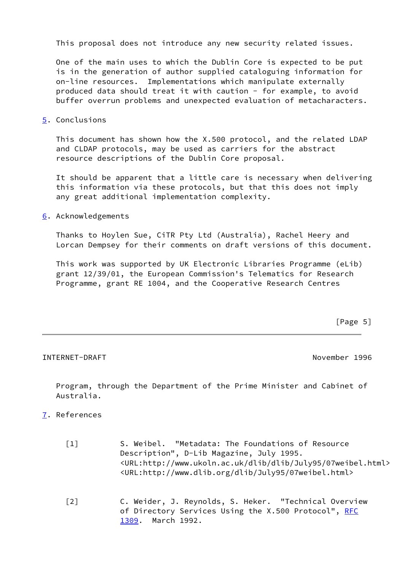This proposal does not introduce any new security related issues.

 One of the main uses to which the Dublin Core is expected to be put is in the generation of author supplied cataloguing information for on-line resources. Implementations which manipulate externally produced data should treat it with caution - for example, to avoid buffer overrun problems and unexpected evaluation of metacharacters.

<span id="page-5-2"></span>[5](#page-5-2). Conclusions

 This document has shown how the X.500 protocol, and the related LDAP and CLDAP protocols, may be used as carriers for the abstract resource descriptions of the Dublin Core proposal.

 It should be apparent that a little care is necessary when delivering this information via these protocols, but that this does not imply any great additional implementation complexity.

<span id="page-5-3"></span>[6](#page-5-3). Acknowledgements

 Thanks to Hoylen Sue, CiTR Pty Ltd (Australia), Rachel Heery and Lorcan Dempsey for their comments on draft versions of this document.

 This work was supported by UK Electronic Libraries Programme (eLib) grant 12/39/01, the European Commission's Telematics for Research Programme, grant RE 1004, and the Cooperative Research Centres

 $[Page 5]$ 

INTERNET-DRAFT November 1996

 Program, through the Department of the Prime Minister and Cabinet of Australia.

- <span id="page-5-4"></span><span id="page-5-1"></span><span id="page-5-0"></span>[7](#page-5-4). References
	- [1] S. Weibel. "Metadata: The Foundations of Resource Description", D-Lib Magazine, July 1995. <URL:http://www.ukoln.ac.uk/dlib/dlib/July95/07weibel.html> <URL:http://www.dlib.org/dlib/July95/07weibel.html>
	- [2] C. Weider, J. Reynolds, S. Heker. "Technical Overview of Directory Services Using the X.500 Protocol", [RFC](https://datatracker.ietf.org/doc/pdf/rfc1309) [1309](https://datatracker.ietf.org/doc/pdf/rfc1309). March 1992.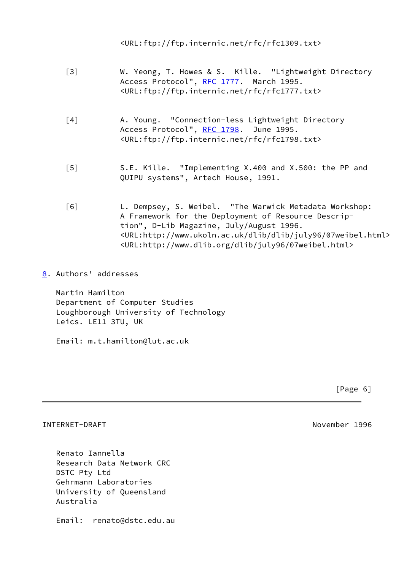<URL:ftp://ftp.internic.net/rfc/rfc1309.txt>

- <span id="page-6-0"></span> [3] W. Yeong, T. Howes & S. Kille. "Lightweight Directory Access Protocol", [RFC 1777](https://datatracker.ietf.org/doc/pdf/rfc1777). March 1995. <URL:ftp://ftp.internic.net/rfc/rfc1777.txt>
- <span id="page-6-1"></span> [4] A. Young. "Connection-less Lightweight Directory Access Protocol", [RFC 1798](https://datatracker.ietf.org/doc/pdf/rfc1798). June 1995. <URL:ftp://ftp.internic.net/rfc/rfc1798.txt>
- <span id="page-6-2"></span> [5] S.E. Kille. "Implementing X.400 and X.500: the PP and QUIPU systems", Artech House, 1991.
- <span id="page-6-3"></span> [6] L. Dempsey, S. Weibel. "The Warwick Metadata Workshop: A Framework for the Deployment of Resource Descrip tion", D-Lib Magazine, July/August 1996. <URL:http://www.ukoln.ac.uk/dlib/dlib/july96/07weibel.html> <URL:http://www.dlib.org/dlib/july96/07weibel.html>
- <span id="page-6-4"></span>[8](#page-6-4). Authors' addresses

 Martin Hamilton Department of Computer Studies Loughborough University of Technology Leics. LE11 3TU, UK

Email: m.t.hamilton@lut.ac.uk

[Page 6]

#### INTERNET-DRAFT November 1996

 Renato Iannella Research Data Network CRC DSTC Pty Ltd Gehrmann Laboratories University of Queensland Australia

Email: renato@dstc.edu.au